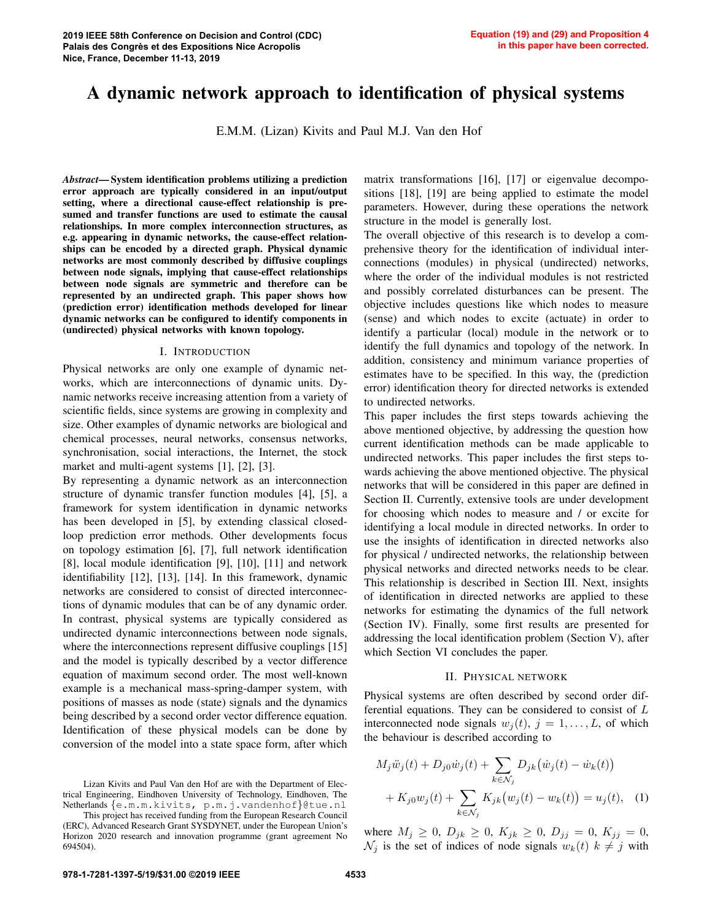# A dynamic network approach to identification of physical systems

E.M.M. (Lizan) Kivits and Paul M.J. Van den Hof

*Abstract*— System identification problems utilizing a prediction error approach are typically considered in an input/output setting, where a directional cause-effect relationship is presumed and transfer functions are used to estimate the causal relationships. In more complex interconnection structures, as e.g. appearing in dynamic networks, the cause-effect relationships can be encoded by a directed graph. Physical dynamic networks are most commonly described by diffusive couplings between node signals, implying that cause-effect relationships between node signals are symmetric and therefore can be represented by an undirected graph. This paper shows how (prediction error) identification methods developed for linear dynamic networks can be configured to identify components in (undirected) physical networks with known topology.

## I. INTRODUCTION

Physical networks are only one example of dynamic networks, which are interconnections of dynamic units. Dynamic networks receive increasing attention from a variety of scientific fields, since systems are growing in complexity and size. Other examples of dynamic networks are biological and chemical processes, neural networks, consensus networks, synchronisation, social interactions, the Internet, the stock market and multi-agent systems [1], [2], [3].

By representing a dynamic network as an interconnection structure of dynamic transfer function modules [4], [5], a framework for system identification in dynamic networks has been developed in [5], by extending classical closedloop prediction error methods. Other developments focus on topology estimation [6], [7], full network identification [8], local module identification [9], [10], [11] and network identifiability [12], [13], [14]. In this framework, dynamic networks are considered to consist of directed interconnections of dynamic modules that can be of any dynamic order. In contrast, physical systems are typically considered as undirected dynamic interconnections between node signals, where the interconnections represent diffusive couplings [15] and the model is typically described by a vector difference equation of maximum second order. The most well-known example is a mechanical mass-spring-damper system, with positions of masses as node (state) signals and the dynamics being described by a second order vector difference equation. Identification of these physical models can be done by conversion of the model into a state space form, after which

Lizan Kivits and Paul Van den Hof are with the Department of Electrical Engineering, Eindhoven University of Technology, Eindhoven, The Netherlands {e.m.m.kivits, p.m.j.vandenhof}@tue.nl

This project has received funding from the European Research Council (ERC), Advanced Research Grant SYSDYNET, under the European Union's Horizon 2020 research and innovation programme (grant agreement No 694504).

matrix transformations [16], [17] or eigenvalue decompositions [18], [19] are being applied to estimate the model parameters. However, during these operations the network structure in the model is generally lost.

The overall objective of this research is to develop a comprehensive theory for the identification of individual interconnections (modules) in physical (undirected) networks, where the order of the individual modules is not restricted and possibly correlated disturbances can be present. The objective includes questions like which nodes to measure (sense) and which nodes to excite (actuate) in order to identify a particular (local) module in the network or to identify the full dynamics and topology of the network. In addition, consistency and minimum variance properties of estimates have to be specified. In this way, the (prediction error) identification theory for directed networks is extended to undirected networks.

This paper includes the first steps towards achieving the above mentioned objective, by addressing the question how current identification methods can be made applicable to undirected networks. This paper includes the first steps towards achieving the above mentioned objective. The physical networks that will be considered in this paper are defined in Section II. Currently, extensive tools are under development for choosing which nodes to measure and / or excite for identifying a local module in directed networks. In order to use the insights of identification in directed networks also for physical / undirected networks, the relationship between physical networks and directed networks needs to be clear. This relationship is described in Section III. Next, insights of identification in directed networks are applied to these networks for estimating the dynamics of the full network (Section IV). Finally, some first results are presented for addressing the local identification problem (Section V), after which Section VI concludes the paper.

# II. PHYSICAL NETWORK

Physical systems are often described by second order differential equations. They can be considered to consist of L interconnected node signals  $w_i(t)$ ,  $j = 1, \ldots, L$ , of which the behaviour is described according to

$$
M_j \ddot{w}_j(t) + D_{j0} \dot{w}_j(t) + \sum_{k \in \mathcal{N}_j} D_{jk} (\dot{w}_j(t) - \dot{w}_k(t)) + K_{j0} w_j(t) + \sum_{k \in \mathcal{N}_j} K_{jk} (w_j(t) - w_k(t)) = u_j(t), \quad (1)
$$

where  $M_j \geq 0$ ,  $D_{jk} \geq 0$ ,  $K_{jk} \geq 0$ ,  $D_{jj} = 0$ ,  $K_{jj} = 0$ ,  $\mathcal{N}_j$  is the set of indices of node signals  $w_k(t)$   $k \neq j$  with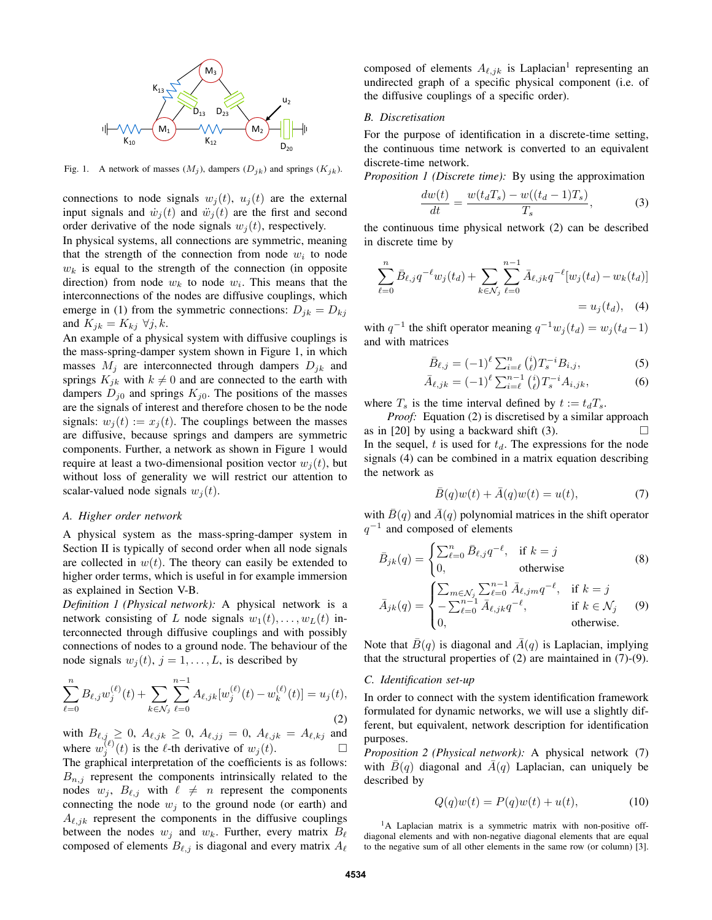

Fig. 1. A network of masses  $(M_j)$ , dampers  $(D_{jk})$  and springs  $(K_{jk})$ .

connections to node signals  $w_i(t)$ ,  $u_i(t)$  are the external input signals and  $\dot{w}_i(t)$  and  $\ddot{w}_i(t)$  are the first and second order derivative of the node signals  $w_i(t)$ , respectively.

In physical systems, all connections are symmetric, meaning that the strength of the connection from node  $w_i$  to node  $w_k$  is equal to the strength of the connection (in opposite direction) from node  $w_k$  to node  $w_i$ . This means that the interconnections of the nodes are diffusive couplings, which emerge in (1) from the symmetric connections:  $D_{jk} = D_{kj}$ and  $K_{jk} = K_{kj} \ \forall j, k$ .

An example of a physical system with diffusive couplings is the mass-spring-damper system shown in Figure 1, in which masses  $M_j$  are interconnected through dampers  $D_{jk}$  and springs  $K_{jk}$  with  $k \neq 0$  and are connected to the earth with dampers  $D_{j0}$  and springs  $K_{j0}$ . The positions of the masses are the signals of interest and therefore chosen to be the node signals:  $w_i(t) := x_i(t)$ . The couplings between the masses are diffusive, because springs and dampers are symmetric components. Further, a network as shown in Figure 1 would require at least a two-dimensional position vector  $w_i(t)$ , but without loss of generality we will restrict our attention to scalar-valued node signals  $w_i(t)$ .

# *A. Higher order network*

A physical system as the mass-spring-damper system in Section II is typically of second order when all node signals are collected in  $w(t)$ . The theory can easily be extended to higher order terms, which is useful in for example immersion as explained in Section V-B.

*Definition 1 (Physical network):* A physical network is a network consisting of L node signals  $w_1(t), \ldots, w_L(t)$  interconnected through diffusive couplings and with possibly connections of nodes to a ground node. The behaviour of the node signals  $w_i(t)$ ,  $j = 1, \ldots, L$ , is described by

$$
\sum_{\ell=0}^{n} B_{\ell,j} w_j^{(\ell)}(t) + \sum_{k \in \mathcal{N}_j} \sum_{\ell=0}^{n-1} A_{\ell,jk} [w_j^{(\ell)}(t) - w_k^{(\ell)}(t)] = u_j(t),\tag{2}
$$

with  $B_{\ell,j} \ge 0$ ,  $A_{\ell,jk} \ge 0$ ,  $A_{\ell,jj} = 0$ ,  $A_{\ell,jk} = A_{\ell,kj}$  and where  $w_j^{(\ell)}(t)$  is the  $\ell$ -th derivative of  $w_j(t)$ .

The graphical interpretation of the coefficients is as follows:  $B_{n,j}$  represent the components intrinsically related to the nodes  $w_j$ ,  $B_{\ell,j}$  with  $\ell \neq n$  represent the components connecting the node  $w_j$  to the ground node (or earth) and  $A_{\ell,ik}$  represent the components in the diffusive couplings between the nodes  $w_i$  and  $w_k$ . Further, every matrix  $B_\ell$ composed of elements  $B_{\ell,j}$  is diagonal and every matrix  $A_{\ell}$ 

composed of elements  $A_{\ell,jk}$  is Laplacian<sup>1</sup> representing an undirected graph of a specific physical component (i.e. of the diffusive couplings of a specific order).

# *B. Discretisation*

For the purpose of identification in a discrete-time setting, the continuous time network is converted to an equivalent discrete-time network.

*Proposition 1 (Discrete time):* By using the approximation

$$
\frac{dw(t)}{dt} = \frac{w(t_d T_s) - w((t_d - 1)T_s)}{T_s},\tag{3}
$$

the continuous time physical network (2) can be described in discrete time by

$$
\sum_{\ell=0}^{n} \bar{B}_{\ell,j} q^{-\ell} w_j(t_d) + \sum_{k \in \mathcal{N}_j} \sum_{\ell=0}^{n-1} \bar{A}_{\ell,jk} q^{-\ell} [w_j(t_d) - w_k(t_d)]
$$
  
=  $u_j(t_d)$ , (4)

with  $q^{-1}$  the shift operator meaning  $q^{-1}w_j(t_d) = w_j(t_d-1)$ and with matrices

$$
\bar{B}_{\ell,j} = (-1)^{\ell} \sum_{i=\ell}^{n} {i \choose \ell} T_s^{-i} B_{i,j},
$$
\n(5)

$$
\bar{A}_{\ell,jk} = (-1)^{\ell} \sum_{i=\ell}^{n-1} {i \choose \ell} T_s^{-i} A_{i,jk},
$$
 (6)

where  $T_s$  is the time interval defined by  $t := t_dT_s$ .

*Proof:* Equation (2) is discretised by a similar approach as in [20] by using a backward shift (3).  $\Box$ In the sequel, t is used for  $t_d$ . The expressions for the node signals (4) can be combined in a matrix equation describing the network as

$$
\bar{B}(q)w(t) + \bar{A}(q)w(t) = u(t),\tag{7}
$$

with  $\bar{B}(q)$  and  $\bar{A}(q)$  polynomial matrices in the shift operator  $q^{-1}$  and composed of elements

$$
\bar{B}_{jk}(q) = \begin{cases}\n\sum_{\ell=0}^{n} \bar{B}_{\ell,j} q^{-\ell}, & \text{if } k = j \\
0, & \text{otherwise}\n\end{cases}
$$
\n(8)\n
$$
\bar{A}_{jk}(q) = \begin{cases}\n\sum_{m \in \mathcal{N}_j} \sum_{\ell=0}^{n-1} \bar{A}_{\ell,jm} q^{-\ell}, & \text{if } k = j \\
-\sum_{\ell=0}^{n-1} \bar{A}_{\ell,jk} q^{-\ell}, & \text{if } k \in \mathcal{N}_j \\
0, & \text{otherwise.}\n\end{cases}
$$

Note that  $\bar{B}(q)$  is diagonal and  $\bar{A}(q)$  is Laplacian, implying that the structural properties of (2) are maintained in (7)-(9).

#### *C. Identification set-up*

In order to connect with the system identification framework formulated for dynamic networks, we will use a slightly different, but equivalent, network description for identification purposes.

*Proposition 2 (Physical network):* A physical network (7) with  $\bar{B}(q)$  diagonal and  $\bar{A}(q)$  Laplacian, can uniquely be described by

$$
Q(q)w(t) = P(q)w(t) + u(t), \qquad (10)
$$

<sup>1</sup>A Laplacian matrix is a symmetric matrix with non-positive offdiagonal elements and with non-negative diagonal elements that are equal to the negative sum of all other elements in the same row (or column) [3].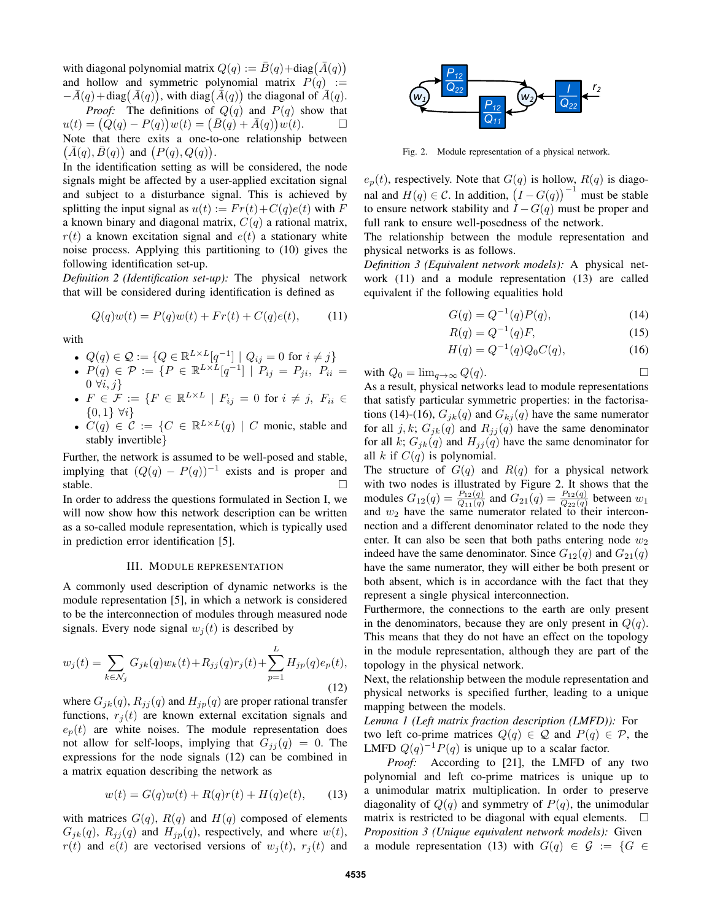with diagonal polynomial matrix  $Q(q) := \bar{B}(q) + \text{diag}(\bar{A}(q))$ and hollow and symmetric polynomial matrix  $P(q) :=$  $-\bar{A}(q) + \text{diag}(\bar{A}(q))$ , with diag( $\bar{A}(q)$ ) the diagonal of  $\bar{A}(q)$ . *Proof:* The definitions of  $Q(q)$  and  $P(q)$  show that  $u(t) = (Q(q) - P(q))w(t) = (\bar{B}(q) + \bar{A}(q))w(t).$ Note that there exits a one-to-one relationship between  $(\bar{A}(q), \bar{B}(q))$  and  $(P(q), Q(q))$ .

In the identification setting as will be considered, the node signals might be affected by a user-applied excitation signal and subject to a disturbance signal. This is achieved by splitting the input signal as  $u(t) := Fr(t) + C(q)e(t)$  with F a known binary and diagonal matrix,  $C(q)$  a rational matrix,  $r(t)$  a known excitation signal and  $e(t)$  a stationary white noise process. Applying this partitioning to (10) gives the following identification set-up.

*Definition 2 (Identification set-up):* The physical network that will be considered during identification is defined as

$$
Q(q)w(t) = P(q)w(t) + Fr(t) + C(q)e(t), \qquad (11)
$$

with

$$
\quad \bullet \ \ Q(q) \in \mathcal{Q} := \{Q \in \mathbb{R}^{L \times L}[q^{-1}] \ | \ Q_{ij} = 0 \ \text{for} \ i \neq j\}
$$

- $P(q) \in \mathcal{P} := \{ P \in \mathbb{R}^{L \times L}[q^{-1}] \mid P_{ij} = P_{ji}, \ P_{ii} =$  $0 \forall i, j$
- $F \in \mathcal{F} := \{ F \in \mathbb{R}^{L \times L} \mid F_{ij} = 0 \text{ for } i \neq j, F_{ii} \in$  $\{0,1\} \forall i\}$
- $C(q) \in \mathcal{C} := \{ C \in \mathbb{R}^{L \times L}(q) \mid C \text{ monic, stable and }\}$ stably invertible}

Further, the network is assumed to be well-posed and stable, implying that  $(Q(q) - P(q))^{-1}$  exists and is proper and stable.  $\Box$ 

In order to address the questions formulated in Section I, we will now show how this network description can be written as a so-called module representation, which is typically used in prediction error identification [5].

### III. MODULE REPRESENTATION

A commonly used description of dynamic networks is the module representation [5], in which a network is considered to be the interconnection of modules through measured node signals. Every node signal  $w_i(t)$  is described by

$$
w_j(t) = \sum_{k \in \mathcal{N}_j} G_{jk}(q) w_k(t) + R_{jj}(q) r_j(t) + \sum_{p=1}^L H_{jp}(q) e_p(t),
$$
\n(12)

where  $G_{jk}(q)$ ,  $R_{jj}(q)$  and  $H_{jp}(q)$  are proper rational transfer functions,  $r_i(t)$  are known external excitation signals and  $e_p(t)$  are white noises. The module representation does not allow for self-loops, implying that  $G_{jj}(q) = 0$ . The expressions for the node signals (12) can be combined in a matrix equation describing the network as

$$
w(t) = G(q)w(t) + R(q)r(t) + H(q)e(t), \qquad (13)
$$

with matrices  $G(q)$ ,  $R(q)$  and  $H(q)$  composed of elements  $G_{ik}(q)$ ,  $R_{ij}(q)$  and  $H_{ip}(q)$ , respectively, and where  $w(t)$ ,  $r(t)$  and  $e(t)$  are vectorised versions of  $w_i(t)$ ,  $r_i(t)$  and



Fig. 2. Module representation of a physical network.

 $e_p(t)$ , respectively. Note that  $G(q)$  is hollow,  $R(q)$  is diagonal and  $H(q) \in \mathcal{C}$ . In addition,  $(I - G(q))^{-1}$  must be stable to ensure network stability and  $\hat{I} - G(q)$  must be proper and full rank to ensure well-posedness of the network.

The relationship between the module representation and physical networks is as follows.

*Definition 3 (Equivalent network models):* A physical network (11) and a module representation (13) are called equivalent if the following equalities hold

$$
G(q) = Q^{-1}(q)P(q),
$$
\n(14)

$$
R(q) = Q^{-1}(q)F,
$$
\n(15)

$$
H(q) = Q^{-1}(q)Q_0C(q),
$$
\n(16)

with 
$$
Q_0 = \lim_{q \to \infty} Q(q)
$$
.

As a result, physical networks lead to module representations that satisfy particular symmetric properties: in the factorisations (14)-(16),  $G_{jk}(q)$  and  $G_{kj}(q)$  have the same numerator for all j, k;  $G_{jk}(q)$  and  $R_{jj}(q)$  have the same denominator for all k;  $G_{jk}(q)$  and  $H_{jj}(q)$  have the same denominator for all k if  $C(q)$  is polynomial.

The structure of  $G(q)$  and  $R(q)$  for a physical network with two nodes is illustrated by Figure 2. It shows that the modules  $G_{12}(q) = \frac{P_{12}(q)}{Q_{11}(q)}$  and  $G_{21}(q) = \frac{P_{12}(q)}{Q_{22}(q)}$  between  $w_1$ and  $w_2$  have the same numerator related to their interconnection and a different denominator related to the node they enter. It can also be seen that both paths entering node  $w_2$ indeed have the same denominator. Since  $G_{12}(q)$  and  $G_{21}(q)$ have the same numerator, they will either be both present or both absent, which is in accordance with the fact that they represent a single physical interconnection.

Furthermore, the connections to the earth are only present in the denominators, because they are only present in  $Q(q)$ . This means that they do not have an effect on the topology in the module representation, although they are part of the topology in the physical network.

Next, the relationship between the module representation and physical networks is specified further, leading to a unique mapping between the models.

*Lemma 1 (Left matrix fraction description (LMFD)):* For two left co-prime matrices  $Q(q) \in \mathcal{Q}$  and  $P(q) \in \mathcal{P}$ , the LMFD  $Q(q)^{-1}P(q)$  is unique up to a scalar factor.

*Proof:* According to [21], the LMFD of any two polynomial and left co-prime matrices is unique up to a unimodular matrix multiplication. In order to preserve diagonality of  $Q(q)$  and symmetry of  $P(q)$ , the unimodular matrix is restricted to be diagonal with equal elements.  $\square$ *Proposition 3 (Unique equivalent network models):* Given a module representation (13) with  $G(q) \in \mathcal{G} := \{G \in$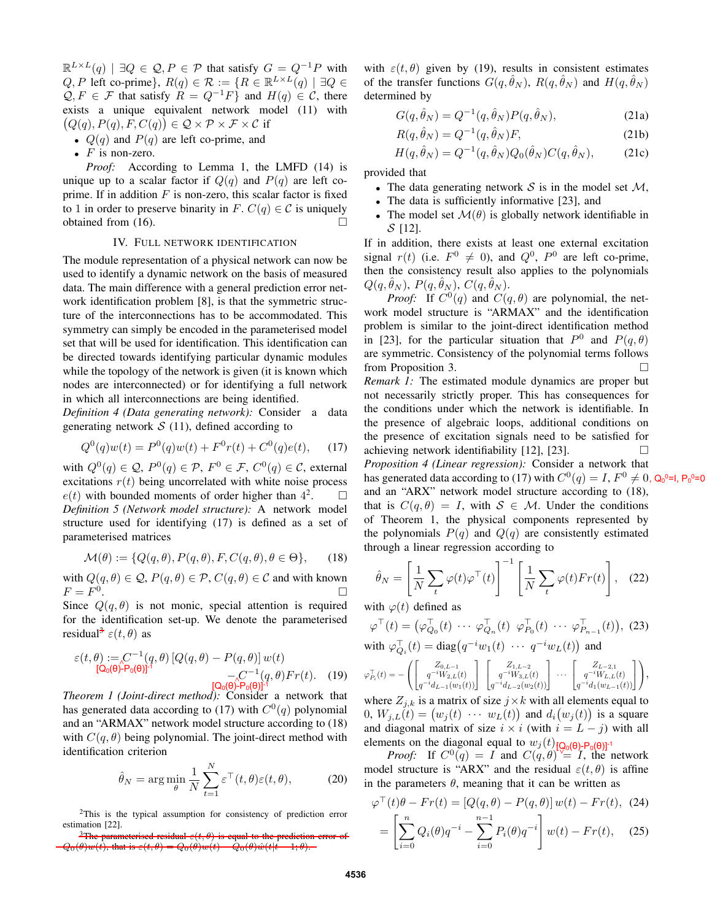$\mathbb{R}^{L\times L}(q)$  |  $\exists Q \in \mathcal{Q}, P \in \mathcal{P}$  that satisfy  $G = Q^{-1}P$  with  $Q, P$  left co-prime},  $R(q) \in \mathcal{R} := \{ R \in \mathbb{R}^{L \times L}(q) \mid \exists Q \in \mathcal{R} \}$  $Q, F \in \mathcal{F}$  that satisfy  $R = Q^{-1}F$  and  $H(q) \in \mathcal{C}$ , there exists a unique equivalent network model (11) with  $(Q(q), P(q), F, C(q)) \in \mathcal{Q} \times \mathcal{P} \times \mathcal{F} \times \mathcal{C}$  if

- $Q(q)$  and  $P(q)$  are left co-prime, and
- $F$  is non-zero.

*Proof:* According to Lemma 1, the LMFD (14) is unique up to a scalar factor if  $Q(q)$  and  $P(q)$  are left coprime. If in addition  $F$  is non-zero, this scalar factor is fixed to 1 in order to preserve binarity in F.  $C(q) \in \mathcal{C}$  is uniquely obtained from  $(16)$ .

# IV. FULL NETWORK IDENTIFICATION

The module representation of a physical network can now be used to identify a dynamic network on the basis of measured data. The main difference with a general prediction error network identification problem [8], is that the symmetric structure of the interconnections has to be accommodated. This symmetry can simply be encoded in the parameterised model set that will be used for identification. This identification can be directed towards identifying particular dynamic modules while the topology of the network is given (it is known which nodes are interconnected) or for identifying a full network in which all interconnections are being identified.

*Definition 4 (Data generating network):* Consider a data generating network  $S(11)$ , defined according to

$$
Q^{0}(q)w(t) = P^{0}(q)w(t) + F^{0}r(t) + C^{0}(q)e(t), \quad (17)
$$

with  $Q^0(q) \in \mathcal{Q}$ ,  $P^0(q) \in \mathcal{P}$ ,  $F^0 \in \mathcal{F}$ ,  $C^0(q) \in \mathcal{C}$ , external excitations  $r(t)$  being uncorrelated with white noise process  $e(t)$  with bounded moments of order higher than  $4<sup>2</sup>$  $\Box$ *Definition 5 (Network model structure):* A network model structure used for identifying (17) is defined as a set of parameterised matrices

$$
\mathcal{M}(\theta) := \{ Q(q, \theta), P(q, \theta), F, C(q, \theta), \theta \in \Theta \}, \qquad (18)
$$

with  $Q(q, \theta) \in \mathcal{Q}$ ,  $P(q, \theta) \in \mathcal{P}$ ,  $C(q, \theta) \in \mathcal{C}$  and with known  $F = F^0$ .

Since  $Q(q, \theta)$  is not monic, special attention is required for the identification set-up. We denote the parameterised residual<sup>3</sup>  $\varepsilon(t, \theta)$  as

$$
\varepsilon(t,\theta) := C^{-1}(q,\theta) [Q(q,\theta) - P(q,\theta)] w(t)
$$
  
\n[Q<sub>0</sub>( $\theta$ )-P<sub>0</sub>( $\theta$ )]<sup>-1</sup>  
\n[Q<sub>0</sub>( $\theta$ )-P<sub>0</sub>( $\theta$ )]<sup>-1</sup>  
\n[Q<sub>0</sub>( $\theta$ )-P<sub>0</sub>( $\theta$ )]<sup>-1</sup>  
\n[Q<sub>0</sub>( $\theta$ )-P<sub>0</sub>( $\theta$ )]<sup>-1</sup>

*[Q<sub>0</sub>(θ)-P<sub>0</sub>(θ)*<sup>[1</sup><br>*Theorem 1 (Joint-direct method):* Consider a network that has generated data according to (17) with  $C^{0}(q)$  polynomial and an "ARMAX" network model structure according to (18) with  $C(q, \theta)$  being polynomial. The joint-direct method with identification criterion

$$
\hat{\theta}_N = \arg\min_{\theta} \frac{1}{N} \sum_{t=1}^N \varepsilon^{\top}(t, \theta) \varepsilon(t, \theta), \tag{20}
$$

<sup>2</sup>This is the typical assumption for consistency of prediction error estimation [22].

with  $\varepsilon(t, \theta)$  given by (19), results in consistent estimates of the transfer functions  $G(q, \hat{\theta}_N)$ ,  $R(q, \hat{\theta}_N)$  and  $H(q, \hat{\theta}_N)$ determined by

$$
G(q, \hat{\theta}_N) = Q^{-1}(q, \hat{\theta}_N) P(q, \hat{\theta}_N), \qquad (21a)
$$

$$
R(q, \hat{\theta}_N) = Q^{-1}(q, \hat{\theta}_N)F,
$$
\n(21b)

$$
H(q, \hat{\theta}_N) = Q^{-1}(q, \hat{\theta}_N) Q_0(\hat{\theta}_N) C(q, \hat{\theta}_N), \quad (21c)
$$

provided that

- The data generating network  $S$  is in the model set  $M$ ,
- The data is sufficiently informative [23], and
- The model set  $\mathcal{M}(\theta)$  is globally network identifiable in  $S$  [12].

If in addition, there exists at least one external excitation signal  $r(t)$  (i.e.  $F^0 \neq 0$ ), and  $Q^0$ ,  $P^0$  are left co-prime, then the consistency result also applies to the polynomials  $Q(q, \hat{\theta}_N)$ ,  $P(q, \hat{\theta}_N)$ ,  $C(q, \hat{\theta}_N)$ .

*Proof:* If  $C^0(q)$  and  $C(q, \theta)$  are polynomial, the network model structure is "ARMAX" and the identification problem is similar to the joint-direct identification method in [23], for the particular situation that  $P^0$  and  $P(q, \theta)$ are symmetric. Consistency of the polynomial terms follows from Proposition 3.

*Remark 1:* The estimated module dynamics are proper but not necessarily strictly proper. This has consequences for the conditions under which the network is identifiable. In the presence of algebraic loops, additional conditions on the presence of excitation signals need to be satisfied for achieving network identifiability [12], [23].  $\Box$ 

*Proposition 4 (Linear regression):* Consider a network that has generated data according to (17) with  $C^0(q) = I$ ,  $F^0 \neq 0$ ,  $Q_0$ <sup>0=1</sup>,  $P_0$ <sup>0=0</sup> and an "ARX" network model structure according to (18), that is  $C(q, \theta) = I$ , with  $S \in M$ . Under the conditions of Theorem 1, the physical components represented by the polynomials  $P(q)$  and  $Q(q)$  are consistently estimated through a linear regression according to

$$
\hat{\theta}_N = \left[\frac{1}{N} \sum_t \varphi(t) \varphi^\top(t)\right]^{-1} \left[\frac{1}{N} \sum_t \varphi(t) Fr(t)\right], \quad (22)
$$

with  $\varphi(t)$  defined as

$$
\varphi^{\top}(t) = (\varphi_{Q_0}^{\top}(t) \cdots \varphi_{Q_n}^{\top}(t) \varphi_{P_0}^{\top}(t) \cdots \varphi_{P_{n-1}}^{\top}(t)), (23)
$$
  
with 
$$
\varphi_{Q_i}^{\top}(t) = \text{diag}(q^{-i}w_1(t) \cdots q^{-i}w_L(t)) \text{ and}
$$

$$
\varphi_{P_i}^{\top}(t) = -\left(\begin{bmatrix} Z_{0,L-1} \\ q^{-i}W_{2,L}(t) \\ q^{-i}d_{L-1}(w_1(t)) \end{bmatrix} \begin{bmatrix} Z_{1,L-2} \\ q^{-i}W_{3,L}(t) \\ q^{-i}d_{L-2}(w_2(t)) \end{bmatrix} \cdots \begin{bmatrix} Z_{L-2,1} \\ q^{-i}W_{L,L}(t) \\ q^{-i}d_1(w_{L-1}(t)) \end{bmatrix}\right),
$$

where  $Z_{j,k}$  is a matrix of size  $j \times k$  with all elements equal to 0,  $W_{j,L}(t) = (w_j(t) \cdots w_L(t))$  and  $d_i(w_j(t))$  is a square and diagonal matrix of size  $i \times i$  (with  $i = L - j$ ) with all elements on the diagonal equal to  $w_j(t)$  [Q<sub>0</sub>(θ)-P<sub>0</sub>(θ)]<sup>-1</sup>

*Proof:* If  $C^0(q) = I$  and  $C(q, \theta) \stackrel{\sqrt{q}}{=} I$ , the network model structure is "ARX" and the residual  $\varepsilon(t, \theta)$  is affine in the parameters  $\theta$ , meaning that it can be written as

$$
\varphi^{\top}(t)\theta - Fr(t) = [Q(q, \theta) - P(q, \theta)] w(t) - Fr(t), \tag{24}
$$

$$
= \left[\sum_{i=0}^{n} Q_i(\theta) q^{-i} - \sum_{i=0}^{n-1} P_i(\theta) q^{-i}\right] w(t) - Fr(t), \quad (25)
$$

<sup>&</sup>lt;sup>3</sup>The parameterised residual  $\varepsilon(t, \theta)$  is equal to the prediction error  $Q_{0}(\theta)w(t)$ , that is  $\varepsilon(t,\theta) = Q_{0}(\theta)w(t) - \tilde{Q}_{0}(\theta)\hat{w}(t)\hat{t} - 1;\theta).$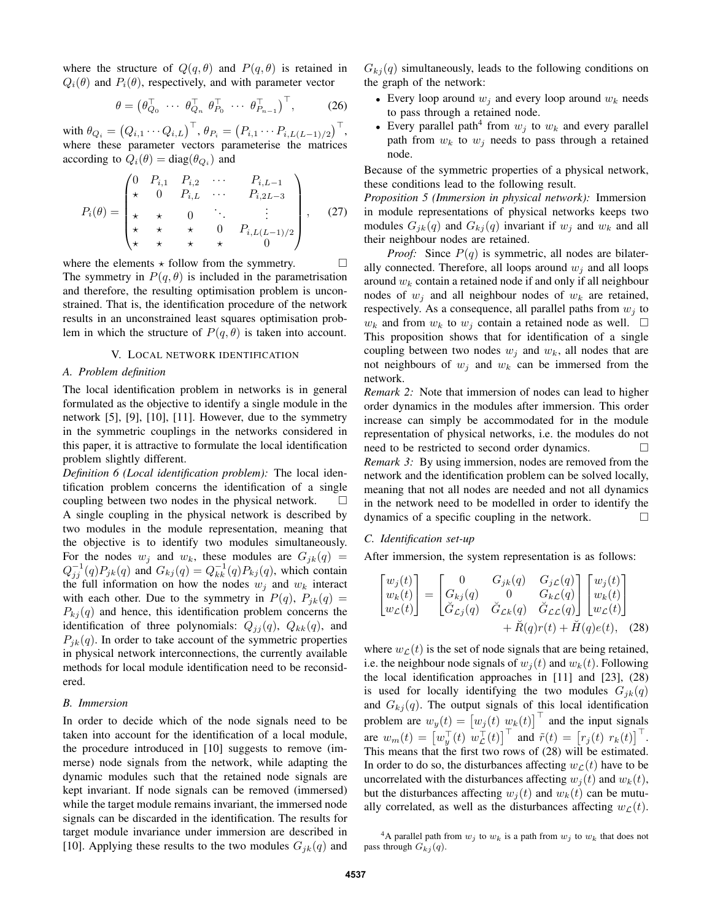where the structure of  $Q(q, \theta)$  and  $P(q, \theta)$  is retained in  $Q_i(\theta)$  and  $P_i(\theta)$ , respectively, and with parameter vector

$$
\theta = \begin{pmatrix} \theta_{Q_0}^{\top} & \cdots & \theta_{Q_n}^{\top} & \theta_{P_0}^{\top} & \cdots & \theta_{P_{n-1}}^{\top} \end{pmatrix}^{\top}, \tag{26}
$$

with  $\theta_{Q_i} = \left(Q_{i,1} \cdots Q_{i,L}\right)^\top$ ,  $\theta_{P_i} = \left(P_{i,1} \cdots P_{i,L(L-1)/2}\right)^\top$ , where these parameter vectors parameterise the matrices according to  $Q_i(\theta) = \text{diag}(\theta_{Q_i})$  and

$$
P_i(\theta) = \begin{pmatrix} 0 & P_{i,1} & P_{i,2} & \cdots & P_{i,L-1} \\ \star & 0 & P_{i,L} & \cdots & P_{i,2L-3} \\ \star & \star & 0 & \ddots & \vdots \\ \star & \star & \star & 0 & P_{i,L(L-1)/2} \\ \star & \star & \star & \star & 0 \end{pmatrix}, \quad (27)
$$

where the elements  $\star$  follow from the symmetry.  $\Box$ The symmetry in  $P(q, \theta)$  is included in the parametrisation and therefore, the resulting optimisation problem is unconstrained. That is, the identification procedure of the network results in an unconstrained least squares optimisation problem in which the structure of  $P(q, \theta)$  is taken into account.

#### V. LOCAL NETWORK IDENTIFICATION

#### *A. Problem definition*

The local identification problem in networks is in general formulated as the objective to identify a single module in the network [5], [9], [10], [11]. However, due to the symmetry in the symmetric couplings in the networks considered in this paper, it is attractive to formulate the local identification problem slightly different.

*Definition 6 (Local identification problem):* The local identification problem concerns the identification of a single coupling between two nodes in the physical network.  $\square$ A single coupling in the physical network is described by two modules in the module representation, meaning that the objective is to identify two modules simultaneously. For the nodes  $w_j$  and  $w_k$ , these modules are  $G_{jk}(q)$  =  $Q_{jj}^{-1}(q)P_{jk}(q)$  and  $G_{kj}(q) = Q_{kk}^{-1}(q)P_{kj}(q)$ , which contain the full information on how the nodes  $w_i$  and  $w_k$  interact with each other. Due to the symmetry in  $P(q)$ ,  $P_{jk}(q)$  =  $P_{kj}(q)$  and hence, this identification problem concerns the identification of three polynomials:  $Q_{jj}(q)$ ,  $Q_{kk}(q)$ , and  $P_{ik}(q)$ . In order to take account of the symmetric properties in physical network interconnections, the currently available methods for local module identification need to be reconsidered.

## *B. Immersion*

In order to decide which of the node signals need to be taken into account for the identification of a local module, the procedure introduced in [10] suggests to remove (immerse) node signals from the network, while adapting the dynamic modules such that the retained node signals are kept invariant. If node signals can be removed (immersed) while the target module remains invariant, the immersed node signals can be discarded in the identification. The results for target module invariance under immersion are described in [10]. Applying these results to the two modules  $G_{ik}(q)$  and  $G_{kj}(q)$  simultaneously, leads to the following conditions on the graph of the network:

- Every loop around  $w_i$  and every loop around  $w_k$  needs to pass through a retained node.
- Every parallel path<sup>4</sup> from  $w_j$  to  $w_k$  and every parallel path from  $w_k$  to  $w_j$  needs to pass through a retained node.

Because of the symmetric properties of a physical network, these conditions lead to the following result.

*Proposition 5 (Immersion in physical network):* Immersion in module representations of physical networks keeps two modules  $G_{ik}(q)$  and  $G_{ki}(q)$  invariant if  $w_i$  and  $w_k$  and all their neighbour nodes are retained.

*Proof:* Since  $P(q)$  is symmetric, all nodes are bilaterally connected. Therefore, all loops around  $w_j$  and all loops around  $w_k$  contain a retained node if and only if all neighbour nodes of  $w_i$  and all neighbour nodes of  $w_k$  are retained, respectively. As a consequence, all parallel paths from  $w_i$  to  $w_k$  and from  $w_k$  to  $w_j$  contain a retained node as well.  $\square$ This proposition shows that for identification of a single coupling between two nodes  $w_j$  and  $w_k$ , all nodes that are not neighbours of  $w_j$  and  $w_k$  can be immersed from the network.

*Remark 2:* Note that immersion of nodes can lead to higher order dynamics in the modules after immersion. This order increase can simply be accommodated for in the module representation of physical networks, i.e. the modules do not need to be restricted to second order dynamics. *Remark 3:* By using immersion, nodes are removed from the network and the identification problem can be solved locally, meaning that not all nodes are needed and not all dynamics in the network need to be modelled in order to identify the dynamics of a specific coupling in the network.

## *C. Identification set-up*

After immersion, the system representation is as follows:

$$
\begin{bmatrix} w_j(t) \\ w_k(t) \\ w_{\mathcal{L}}(t) \end{bmatrix} = \begin{bmatrix} 0 & G_{jk}(q) & G_{j\mathcal{L}}(q) \\ G_{kj}(q) & 0 & G_{k\mathcal{L}}(q) \\ \breve{G}_{\mathcal{L}j}(q) & \breve{G}_{\mathcal{L}k}(q) & \breve{G}_{\mathcal{L}\mathcal{L}}(q) \end{bmatrix} \begin{bmatrix} w_j(t) \\ w_k(t) \\ w_{\mathcal{L}}(t) \end{bmatrix} + \breve{R}(q)r(t) + \breve{H}(q)e(t), \quad (28)
$$

where  $w_{\mathcal{L}}(t)$  is the set of node signals that are being retained, i.e. the neighbour node signals of  $w_i(t)$  and  $w_k(t)$ . Following the local identification approaches in [11] and [23], (28) is used for locally identifying the two modules  $G_{ik}(q)$ and  $G_{kj}(q)$ . The output signals of this local identification problem are  $w_y(t) = [w_j(t) \ w_k(t)]^\top$  and the input signals are  $w_m(t) = \left[w_y^{\top}(t) \ w_z^{\top}(t)\right]^{\top}$  and  $\tilde{r}(t) = \left[r_j(t) \ r_k(t)\right]^{\top}$ . This means that the first two rows of (28) will be estimated. In order to do so, the disturbances affecting  $w_{\mathcal{L}}(t)$  have to be uncorrelated with the disturbances affecting  $w_i(t)$  and  $w_k(t)$ , but the disturbances affecting  $w_i(t)$  and  $w_k(t)$  can be mutually correlated, as well as the disturbances affecting  $w_{\mathcal{L}}(t)$ .

<sup>4</sup>A parallel path from  $w_j$  to  $w_k$  is a path from  $w_j$  to  $w_k$  that does not pass through  $G_{ki}(q)$ .